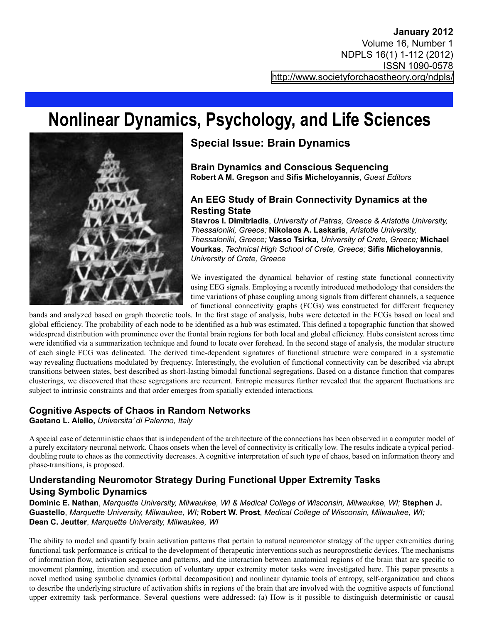# **Nonlinear Dynamics, Psychology, and Life Sciences**



## **Special Issue: Brain Dynamics**

**Brain Dynamics and Conscious Sequencing Robert A M. Gregson** and **Sifis Micheloyannis**, *Guest Editors*

#### **An EEG Study of Brain Connectivity Dynamics at the Resting State**

**Stavros I. Dimitriadis**, *University of Patras, Greece & Aristotle University, Thessaloniki, Greece;* **Nikolaos A. Laskaris**, *Aristotle University, Thessaloniki, Greece;* **Vasso Tsirka**, *University of Crete, Greece;* **Michael Vourkas**, *Technical High School of Crete, Greece;* **Sifis Micheloyannis**, *University of Crete, Greece*

We investigated the dynamical behavior of resting state functional connectivity using EEG signals. Employing a recently introduced methodology that considers the time variations of phase coupling among signals from different channels, a sequence of functional connectivity graphs (FCGs) was constructed for different frequency

bands and analyzed based on graph theoretic tools. In the first stage of analysis, hubs were detected in the FCGs based on local and global efficiency. The probability of each node to be identified as a hub was estimated. This defined a topographic function that showed widespread distribution with prominence over the frontal brain regions for both local and global efficiency. Hubs consistent across time were identified via a summarization technique and found to locate over forehead. In the second stage of analysis, the modular structure of each single FCG was delineated. The derived time-dependent signatures of functional structure were compared in a systematic way revealing fluctuations modulated by frequency. Interestingly, the evolution of functional connectivity can be described via abrupt transitions between states, best described as short-lasting bimodal functional segregations. Based on a distance function that compares clusterings, we discovered that these segregations are recurrent. Entropic measures further revealed that the apparent fluctuations are subject to intrinsic constraints and that order emerges from spatially extended interactions.

#### **Cognitive Aspects of Chaos in Random Networks**

**Gaetano L. Aiello,** *Universita' di Palermo, Italy*

A special case of deterministic chaos that is independent of the architecture of the connections has been observed in a computer model of a purely excitatory neuronal network. Chaos onsets when the level of connectivity is critically low. The results indicate a typical perioddoubling route to chaos as the connectivity decreases. A cognitive interpretation of such type of chaos, based on information theory and phase-transitions, is proposed.

#### **Understanding Neuromotor Strategy During Functional Upper Extremity Tasks Using Symbolic Dynamics**

**Dominic E. Nathan**, *Marquette University, Milwaukee, WI & Medical College of Wisconsin, Milwaukee, WI;* **Stephen J. Guastello**, *Marquette University, Milwaukee, WI;* **Robert W. Prost**, *Medical College of Wisconsin, Milwaukee, WI;*  **Dean C. Jeutter**, *Marquette University, Milwaukee, WI*

The ability to model and quantify brain activation patterns that pertain to natural neuromotor strategy of the upper extremities during functional task performance is critical to the development of therapeutic interventions such as neuroprosthetic devices. The mechanisms of information flow, activation sequence and patterns, and the interaction between anatomical regions of the brain that are specific to movement planning, intention and execution of voluntary upper extremity motor tasks were investigated here. This paper presents a novel method using symbolic dynamics (orbital decomposition) and nonlinear dynamic tools of entropy, self-organization and chaos to describe the underlying structure of activation shifts in regions of the brain that are involved with the cognitive aspects of functional upper extremity task performance. Several questions were addressed: (a) How is it possible to distinguish deterministic or causal